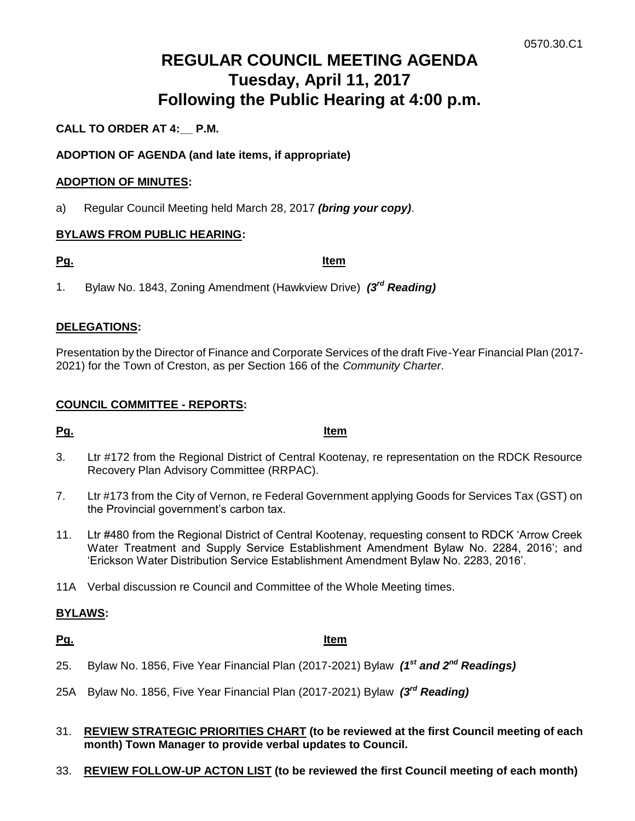# **REGULAR COUNCIL MEETING AGENDA Tuesday, April 11, 2017 Following the Public Hearing at 4:00 p.m.**

# **CALL TO ORDER AT 4:\_\_ P.M.**

# **ADOPTION OF AGENDA (and late items, if appropriate)**

# **ADOPTION OF MINUTES:**

a) Regular Council Meeting held March 28, 2017 *(bring your copy)*.

# **BYLAWS FROM PUBLIC HEARING:**

**Pg. Item**

1. Bylaw No. 1843, Zoning Amendment (Hawkview Drive) *(3rd Reading)*

# **DELEGATIONS:**

Presentation by the Director of Finance and Corporate Services of the draft Five-Year Financial Plan (2017- 2021) for the Town of Creston, as per Section 166 of the *Community Charter*.

# **COUNCIL COMMITTEE - REPORTS:**

**Pg. Item**

- 3. Ltr #172 from the Regional District of Central Kootenay, re representation on the RDCK Resource Recovery Plan Advisory Committee (RRPAC).
- 7. Ltr #173 from the City of Vernon, re Federal Government applying Goods for Services Tax (GST) on the Provincial government's carbon tax.
- 11. Ltr #480 from the Regional District of Central Kootenay, requesting consent to RDCK 'Arrow Creek Water Treatment and Supply Service Establishment Amendment Bylaw No. 2284, 2016'; and 'Erickson Water Distribution Service Establishment Amendment Bylaw No. 2283, 2016'.
- 11A Verbal discussion re Council and Committee of the Whole Meeting times.

# **BYLAWS:**

#### **Pg. Item**

- 25. Bylaw No. 1856, Five Year Financial Plan (2017-2021) Bylaw *(1st and 2nd Readings)*
- 25A Bylaw No. 1856, Five Year Financial Plan (2017-2021) Bylaw *(3rd Reading)*
- 31. **REVIEW STRATEGIC PRIORITIES CHART (to be reviewed at the first Council meeting of each month) Town Manager to provide verbal updates to Council.**
- 33. **REVIEW FOLLOW-UP ACTON LIST (to be reviewed the first Council meeting of each month)**